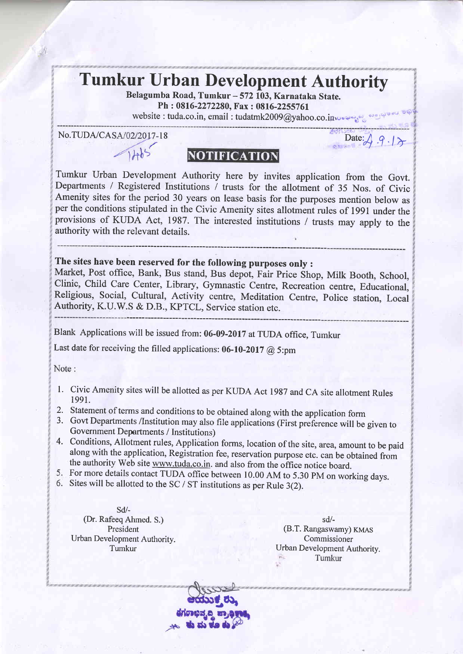## Tumkur Urban Development Authority

Belagumba Road, Tumkur - 572 103, Karnataka State. Ph : 0816-2272280, Fax : 0816-2255761

website : tuda.co.in, email : tudatmk2009@yahoo.co.inverses

No.TUDA/CASA/02/2017-18<br> $1 + b$ <sup>5</sup><br>NOTIFICATION

Tumkur Urban Development Authority here by invites application from the Govt. Departments / Registered Institutions / trusts for the allotment of 35 Nos. of Civic Amenity sites for the period 30 years on lease basis for the purposes mention below as per the conditions stipulated in the Civic Amenity sites allotmenf rules of l99l under the provisions of KUDA Act, 1987. The interested institutions / trusts may apply to the authority with the relevant details.

**NOTIFICATION** 

The sites have been reserved for the following purposes only :

Market, Post office, Bank, Bus stand, Bus depot, Fair Price Shop, Milk Booth, School, Clinic, Child Care Center, Library, Gymnastic Centre, Recreation centre, Educational, Religious, Social, Cultural, Activity centre, Meditation Centre, police station. Local Authority, K.U.W.S & D.8., KPTCL, Service station etc.

Blank Applications will be issued from: 06-09-2017 at TUDA office, Tumkur

Last date for receiving the filled applications: 06-10-2017 @ 5:pm

Note:

- 1. Civic Amenity sites will be allotted as per KUDA Act 1987 and CA site allotment Rules 1991.
- 2. Statement of terms and conditions to be obtained along with the application form
- 3. Govt Departments /Institution may also file applications (First preference will be given to Government Departments / Institutions)
- Conditions, Allotment rules, Application forms, location of the site, area, amount to be paid 4. along with the application, Registration fee, reservation purpose etc. can be obtained from the authority Web site www.tuda.co.in. and also from the office notice board.
- 5. For more details contact TUDA office between 10.00 AM to 5.30 PM on working days.
- 6. Sites will be allotted to the SC / ST institutions as per Rule 3(2).

sd/- (Dr. Rafeeq Ahmed. S.) President Urban Development Authority. Tumkur

sd/- (B.T. Rangaswamy) KMAS Commissioner Urban Development Authority. Tumkur

 $\mathbf{L}$